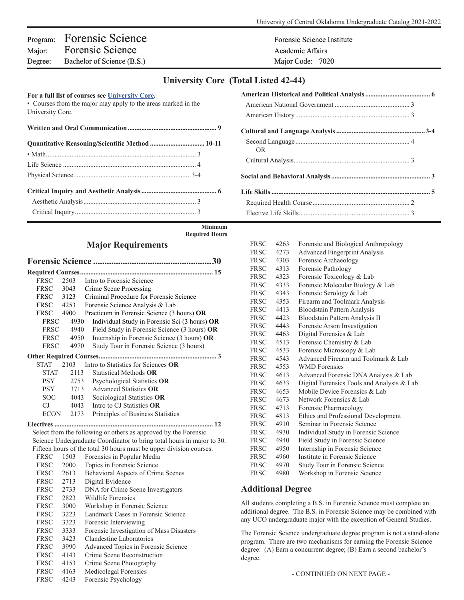## Program: Forensic Science Forensic Science Forensic Science Institute Major: Forensic Science Academic Affairs Academic Affairs Degree: Bachelor of Science (B.S.) Major Code: 7020

## **University Core (Total Listed 42-44)**

| For a full list of courses see University Core.<br>• Courses from the major may apply to the areas marked in the<br>University Core. |  |  |
|--------------------------------------------------------------------------------------------------------------------------------------|--|--|
|                                                                                                                                      |  |  |
| Quantitative Reasoning/Scientific Method  10-11                                                                                      |  |  |
|                                                                                                                                      |  |  |
|                                                                                                                                      |  |  |
|                                                                                                                                      |  |  |
|                                                                                                                                      |  |  |
|                                                                                                                                      |  |  |
|                                                                                                                                      |  |  |

| OR. |  |
|-----|--|
|     |  |
|     |  |
|     |  |
|     |  |
|     |  |

**Minimum Required Hours**

## **Major Requirements**

|             |      | 30                                            |
|-------------|------|-----------------------------------------------|
|             |      |                                               |
| <b>FRSC</b> | 2503 | Intro to Forensic Science                     |
| <b>FRSC</b> | 3043 | Crime Scene Processing                        |
| FRSC        | 3123 | Criminal Procedure for Forensic Science       |
| FRSC 4253   |      | Forensic Science Analysis & Lab               |
| <b>FRSC</b> | 4900 | Practicum in Forensic Science (3 hours) OR    |
| <b>FRSC</b> | 4930 | Individual Study in Forensic Sci (3 hours) OR |
| <b>FRSC</b> | 4940 | Field Study in Forensic Science (3 hours) OR  |
| <b>FRSC</b> | 4950 | Internship in Forensic Science (3 hours) OR   |
| <b>FRSC</b> | 4970 | Study Tour in Forensic Science (3 hours)      |
|             |      |                                               |
| <b>STAT</b> | 2103 | Intro to Statistics for Sciences OR           |
| <b>STAT</b> | 2113 | Statistical Methods OR                        |
| <b>PSY</b>  | 2753 | Psychological Statistics OR                   |
| <b>PSY</b>  | 3713 | Advanced Statistics <b>OR</b>                 |
| <b>SOC</b>  | 4043 | Sociological Statistics OR                    |
| CJ.         | 4043 | Intro to CJ Statistics <b>OR</b>              |
| ECON        | 2173 | Principles of Business Statistics             |
|             |      |                                               |

 Select from the following or others as approved by the Forensic Science Undergraduate Coordinator to bring total hours in major to 30. Fifteen hours of the total 30 hours must be upper division courses.<br>
FRSC 1503 Ferensies in Benular Media

| <b>FRSC</b> | 1503 | Forensics in Popular Media               |
|-------------|------|------------------------------------------|
| <b>FRSC</b> | 2000 | Topics in Forensic Science               |
| <b>FRSC</b> | 2613 | Behavioral Aspects of Crime Scenes       |
| <b>FRSC</b> | 2713 | Digital Evidence                         |
| <b>FRSC</b> | 2733 | DNA for Crime Scene Investigators        |
| FRSC        | 2823 | Wildlife Forensics                       |
| <b>FRSC</b> | 3000 | Workshop in Forensic Science             |
| <b>FRSC</b> | 3223 | Landmark Cases in Forensic Science       |
| <b>FRSC</b> | 3323 | Forensic Interviewing                    |
| <b>FRSC</b> | 3333 | Forensic Investigation of Mass Disasters |
| <b>FRSC</b> | 3423 | Clandestine Laboratories                 |
| <b>FRSC</b> | 3990 | Advanced Topics in Forensic Science      |
| <b>FRSC</b> | 4143 | Crime Scene Reconstruction               |
| <b>FRSC</b> | 4153 | Crime Scene Photography                  |
| <b>FRSC</b> | 4163 | Medicolegal Forensics                    |
| <b>FRSC</b> | 4243 | Forensic Psychology                      |
|             |      |                                          |

| <b>FRSC</b>              | 4273 | <b>Advanced Fingerprint Analysis</b>       |  |  |
|--------------------------|------|--------------------------------------------|--|--|
| <b>FRSC</b>              | 4303 | Forensic Archaeology                       |  |  |
| FRSC                     | 4313 | Forensic Pathology                         |  |  |
| <b>FRSC</b>              | 4323 | Forensic Toxicology & Lab                  |  |  |
| <b>FRSC</b>              | 4333 | Forensic Molecular Biology & Lab           |  |  |
| <b>FRSC</b>              | 4343 | Forensic Serology & Lab                    |  |  |
| <b>FRSC</b>              | 4353 | Firearm and Toolmark Analysis              |  |  |
| <b>FRSC</b>              | 4413 | <b>Bloodstain Pattern Analysis</b>         |  |  |
| <b>FRSC</b>              | 4423 | Bloodstain Pattern Analysis II             |  |  |
| <b>FRSC</b>              | 4443 | Forensic Arson Investigation               |  |  |
| FRSC                     | 4463 | Digital Forensics & Lab                    |  |  |
| <b>FRSC</b>              | 4513 | Forensic Chemistry & Lab                   |  |  |
| <b>FRSC</b>              | 4533 | Forensic Microscopy & Lab                  |  |  |
| <b>FRSC</b>              | 4543 | Advanced Firearm and Toolmark & Lab        |  |  |
| FRSC                     | 4553 | <b>WMD</b> Forensics                       |  |  |
| <b>FRSC</b>              | 4613 | Advanced Forensic DNA Analysis & Lab       |  |  |
| <b>FRSC</b>              | 4633 | Digital Forensics Tools and Analysis & Lab |  |  |
| <b>FRSC</b>              | 4653 | Mobile Device Forensics & Lab              |  |  |
| FRSC                     | 4673 | Network Forensics & Lab                    |  |  |
| <b>FRSC</b>              | 4713 | Forensic Pharmacology                      |  |  |
| <b>FRSC</b>              | 4813 | Ethics and Professional Development        |  |  |
| <b>FRSC</b>              | 4910 | Seminar in Forensic Science                |  |  |
| <b>FRSC</b>              | 4930 | Individual Study in Forensic Science       |  |  |
| <b>FRSC</b>              | 4940 | Field Study in Forensic Science            |  |  |
| <b>FRSC</b>              | 4950 | Internship in Forensic Science             |  |  |
| <b>FRSC</b>              | 4960 | Institute in Forensic Science              |  |  |
| <b>FRSC</b>              | 4970 | Study Tour in Forensic Science             |  |  |
| <b>FRSC</b>              | 4980 | Workshop in Forensic Science               |  |  |
| <b>Additional Degree</b> |      |                                            |  |  |
|                          |      |                                            |  |  |

FRSC 4263 Forensic and Biological Anthropology

All students completing a B.S. in Forensic Science must complete an additional degree. The B.S. in Forensic Science may be combined with any UCO undergraduate major with the exception of General Studies.

The Forensic Science undergraduate degree program is not a stand-alone program. There are two mechanisms for earning the Forensic Science degree: (A) Earn a concurrent degree; (B) Earn a second bachelor's degree.